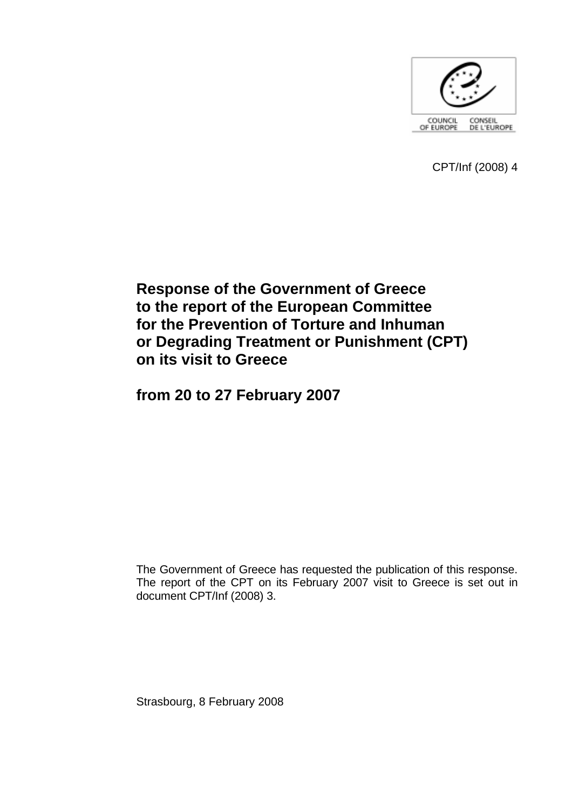

CPT/Inf (2008) 4

# **Response of the Government of Greece to the report of the European Committee for the Prevention of Torture and Inhuman or Degrading Treatment or Punishment (CPT) on its visit to Greece**

**from 20 to 27 February 2007** 

The Government of Greece has requested the publication of this response. The report of the CPT on its February 2007 visit to Greece is set out in document CPT/Inf (2008) 3.

Strasbourg, 8 February 2008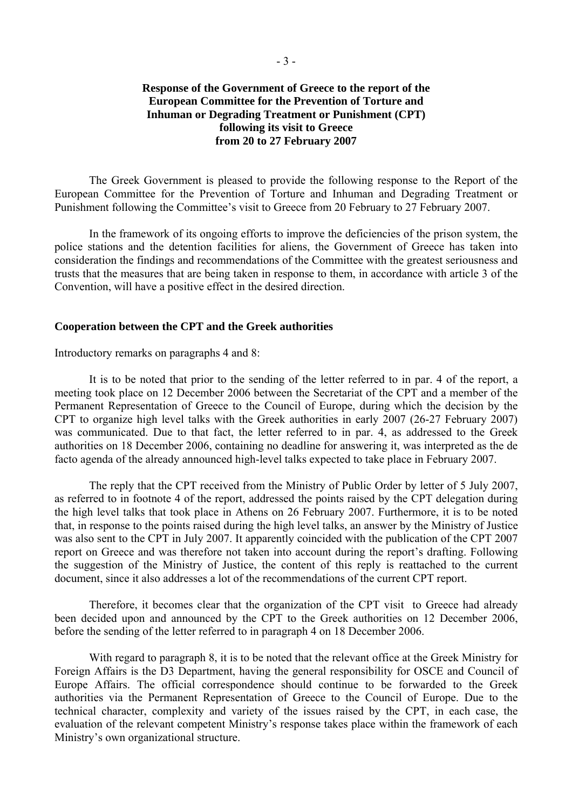# **Response of the Government of Greece to the report of the European Committee for the Prevention of Torture and Inhuman or Degrading Treatment or Punishment (CPT) following its visit to Greece from 20 to 27 February 2007**

 The Greek Government is pleased to provide the following response to the Report of the European Committee for the Prevention of Torture and Inhuman and Degrading Treatment or Punishment following the Committee's visit to Greece from 20 February to 27 February 2007.

 In the framework of its ongoing efforts to improve the deficiencies of the prison system, the police stations and the detention facilities for aliens, the Government of Greece has taken into consideration the findings and recommendations of the Committee with the greatest seriousness and trusts that the measures that are being taken in response to them, in accordance with article 3 of the Convention, will have a positive effect in the desired direction.

#### **Cooperation between the CPT and the Greek authorities**

Introductory remarks on paragraphs 4 and 8:

 It is to be noted that prior to the sending of the letter referred to in par. 4 of the report, a meeting took place on 12 December 2006 between the Secretariat of the CPT and a member of the Permanent Representation of Greece to the Council of Europe, during which the decision by the CPT to organize high level talks with the Greek authorities in early 2007 (26-27 February 2007) was communicated. Due to that fact, the letter referred to in par. 4, as addressed to the Greek authorities on 18 December 2006, containing no deadline for answering it, was interpreted as the de facto agenda of the already announced high-level talks expected to take place in February 2007.

 The reply that the CPT received from the Ministry of Public Order by letter of 5 July 2007, as referred to in footnote 4 of the report, addressed the points raised by the CPT delegation during the high level talks that took place in Athens on 26 February 2007. Furthermore, it is to be noted that, in response to the points raised during the high level talks, an answer by the Ministry of Justice was also sent to the CPT in July 2007. It apparently coincided with the publication of the CPT 2007 report on Greece and was therefore not taken into account during the report's drafting. Following the suggestion of the Ministry of Justice, the content of this reply is reattached to the current document, since it also addresses a lot of the recommendations of the current CPT report.

 Therefore, it becomes clear that the organization of the CPT visit to Greece had already been decided upon and announced by the CPT to the Greek authorities on 12 December 2006, before the sending of the letter referred to in paragraph 4 on 18 December 2006.

 With regard to paragraph 8, it is to be noted that the relevant office at the Greek Ministry for Foreign Affairs is the D3 Department, having the general responsibility for OSCE and Council of Europe Affairs. The official correspondence should continue to be forwarded to the Greek authorities via the Permanent Representation of Greece to the Council of Europe. Due to the technical character, complexity and variety of the issues raised by the CPT, in each case, the evaluation of the relevant competent Ministry's response takes place within the framework of each Ministry's own organizational structure.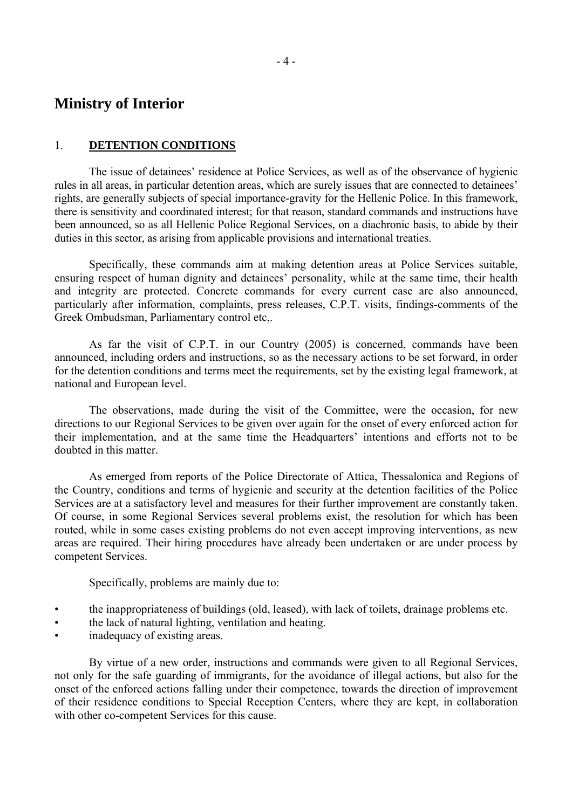# **Ministry of Interior**

# 1. **DETENTION CONDITIONS**

The issue of detainees' residence at Police Services, as well as of the observance of hygienic rules in all areas, in particular detention areas, which are surely issues that are connected to detainees' rights, are generally subjects of special importance-gravity for the Hellenic Police. In this framework, there is sensitivity and coordinated interest; for that reason, standard commands and instructions have been announced, so as all Hellenic Police Regional Services, on a diachronic basis, to abide by their duties in this sector, as arising from applicable provisions and international treaties.

 Specifically, these commands aim at making detention areas at Police Services suitable, ensuring respect of human dignity and detainees' personality, while at the same time, their health and integrity are protected. Concrete commands for every current case are also announced, particularly after information, complaints, press releases, C.P.T. visits, findings-comments of the Greek Ombudsman, Parliamentary control etc,.

 As far the visit of C.P.T. in our Country (2005) is concerned, commands have been announced, including orders and instructions, so as the necessary actions to be set forward, in order for the detention conditions and terms meet the requirements, set by the existing legal framework, at national and European level.

 The observations, made during the visit of the Committee, were the occasion, for new directions to our Regional Services to be given over again for the onset of every enforced action for their implementation, and at the same time the Headquarters' intentions and efforts not to be doubted in this matter.

 As emerged from reports of the Police Directorate of Attica, Thessalonica and Regions of the Country, conditions and terms of hygienic and security at the detention facilities of the Police Services are at a satisfactory level and measures for their further improvement are constantly taken. Of course, in some Regional Services several problems exist, the resolution for which has been routed, while in some cases existing problems do not even accept improving interventions, as new areas are required. Their hiring procedures have already been undertaken or are under process by competent Services.

Specifically, problems are mainly due to:

- the inappropriateness of buildings (old, leased), with lack of toilets, drainage problems etc.
- the lack of natural lighting, ventilation and heating.
- inadequacy of existing areas.

 By virtue of a new order, instructions and commands were given to all Regional Services, not only for the safe guarding of immigrants, for the avoidance of illegal actions, but also for the onset of the enforced actions falling under their competence, towards the direction of improvement of their residence conditions to Special Reception Centers, where they are kept, in collaboration with other co-competent Services for this cause.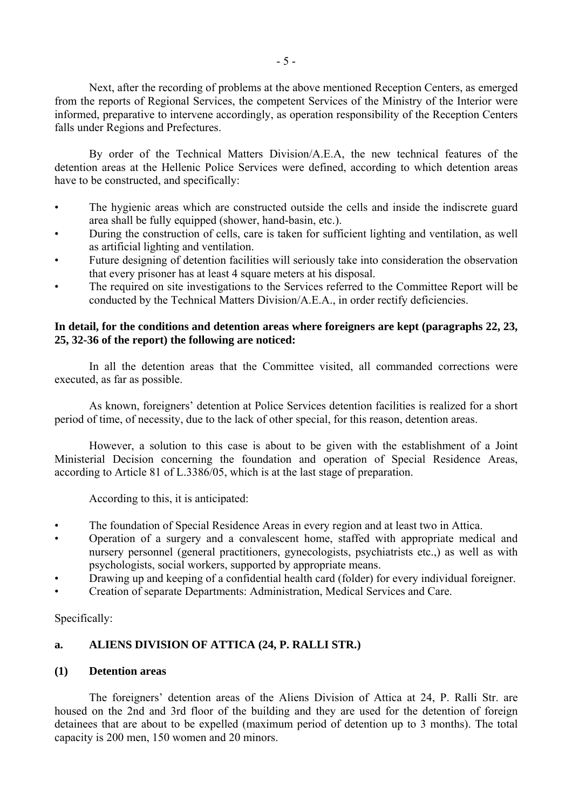Next, after the recording of problems at the above mentioned Reception Centers, as emerged from the reports of Regional Services, the competent Services of the Ministry of the Interior were informed, preparative to intervene accordingly, as operation responsibility of the Reception Centers falls under Regions and Prefectures.

 By order of the Technical Matters Division/A.E.A, the new technical features of the detention areas at the Hellenic Police Services were defined, according to which detention areas have to be constructed, and specifically:

- The hygienic areas which are constructed outside the cells and inside the indiscrete guard area shall be fully equipped (shower, hand-basin, etc.).
- During the construction of cells, care is taken for sufficient lighting and ventilation, as well as artificial lighting and ventilation.
- ï Future designing of detention facilities will seriously take into consideration the observation that every prisoner has at least 4 square meters at his disposal.
- The required on site investigations to the Services referred to the Committee Report will be conducted by the Technical Matters Division/A.E.A., in order rectify deficiencies.

# **In detail, for the conditions and detention areas where foreigners are kept (paragraphs 22, 23, 25, 32-36 of the report) the following are noticed:**

 In all the detention areas that the Committee visited, all commanded corrections were executed, as far as possible.

As known, foreigners' detention at Police Services detention facilities is realized for a short period of time, of necessity, due to the lack of other special, for this reason, detention areas.

 However, a solution to this case is about to be given with the establishment of a Joint Ministerial Decision concerning the foundation and operation of Special Residence Areas, according to Article 81 of L.3386/05, which is at the last stage of preparation.

According to this, it is anticipated:

- The foundation of Special Residence Areas in every region and at least two in Attica.
- Operation of a surgery and a convalescent home, staffed with appropriate medical and nursery personnel (general practitioners, gynecologists, psychiatrists etc.,) as well as with psychologists, social workers, supported by appropriate means.
- Drawing up and keeping of a confidential health card (folder) for every individual foreigner.
- Creation of separate Departments: Administration, Medical Services and Care.

Specifically:

# **a. ALIENS DIVISION OF ATTICA (24, P. RALLI STR.)**

# **(1) Detention areas**

The foreigners' detention areas of the Aliens Division of Attica at 24, P. Ralli Str. are housed on the 2nd and 3rd floor of the building and they are used for the detention of foreign detainees that are about to be expelled (maximum period of detention up to 3 months). The total capacity is 200 men, 150 women and 20 minors.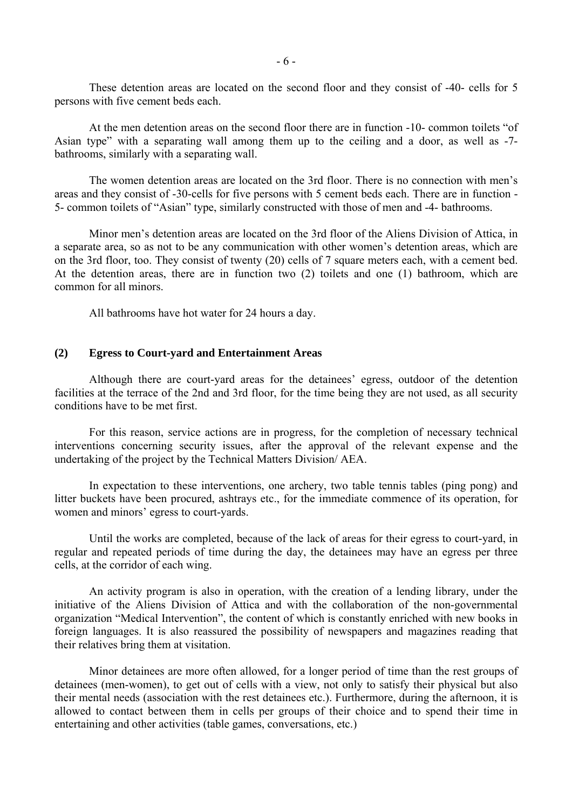These detention areas are located on the second floor and they consist of -40- cells for 5 persons with five cement beds each.

At the men detention areas on the second floor there are in function  $-10$ - common toilets "of Asian type" with a separating wall among them up to the ceiling and a door, as well as -7bathrooms, similarly with a separating wall.

The women detention areas are located on the 3rd floor. There is no connection with men's areas and they consist of -30-cells for five persons with 5 cement beds each. There are in function - 5- common toilets of "Asian" type, similarly constructed with those of men and -4- bathrooms.

Minor men's detention areas are located on the 3rd floor of the Aliens Division of Attica, in a separate area, so as not to be any communication with other women's detention areas, which are on the 3rd floor, too. They consist of twenty (20) cells of 7 square meters each, with a cement bed. At the detention areas, there are in function two (2) toilets and one (1) bathroom, which are common for all minors.

All bathrooms have hot water for 24 hours a day.

## **(2) Egress to Court-yard and Entertainment Areas**

Although there are court-yard areas for the detainees' egress, outdoor of the detention facilities at the terrace of the 2nd and 3rd floor, for the time being they are not used, as all security conditions have to be met first.

 For this reason, service actions are in progress, for the completion of necessary technical interventions concerning security issues, after the approval of the relevant expense and the undertaking of the project by the Technical Matters Division/ AEA.

 In expectation to these interventions, one archery, two table tennis tables (ping pong) and litter buckets have been procured, ashtrays etc., for the immediate commence of its operation, for women and minors' egress to court-yards.

 Until the works are completed, because of the lack of areas for their egress to court-yard, in regular and repeated periods of time during the day, the detainees may have an egress per three cells, at the corridor of each wing.

 An activity program is also in operation, with the creation of a lending library, under the initiative of the Aliens Division of Attica and with the collaboration of the non-governmental organization "Medical Intervention", the content of which is constantly enriched with new books in foreign languages. It is also reassured the possibility of newspapers and magazines reading that their relatives bring them at visitation.

 Minor detainees are more often allowed, for a longer period of time than the rest groups of detainees (men-women), to get out of cells with a view, not only to satisfy their physical but also their mental needs (association with the rest detainees etc.). Furthermore, during the afternoon, it is allowed to contact between them in cells per groups of their choice and to spend their time in entertaining and other activities (table games, conversations, etc.)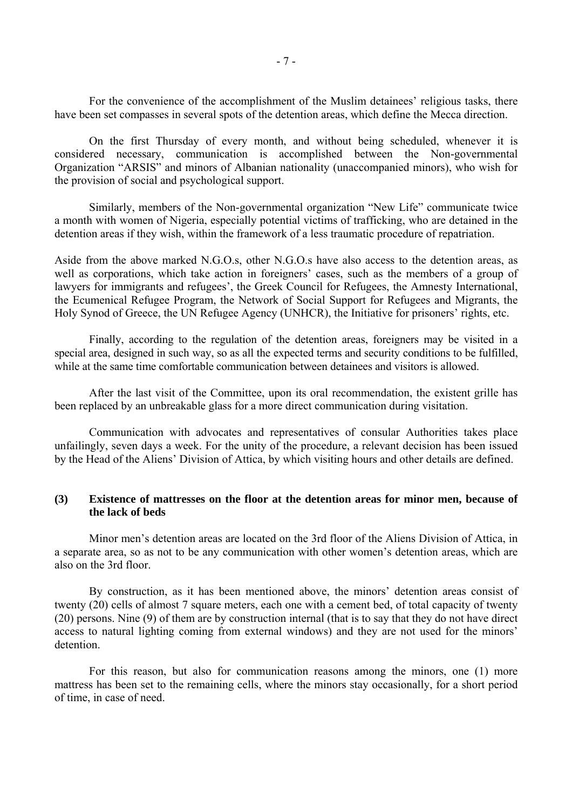For the convenience of the accomplishment of the Muslim detainees' religious tasks, there have been set compasses in several spots of the detention areas, which define the Mecca direction.

 On the first Thursday of every month, and without being scheduled, whenever it is considered necessary, communication is accomplished between the Non-governmental Organization "ARSIS" and minors of Albanian nationality (unaccompanied minors), who wish for the provision of social and psychological support.

Similarly, members of the Non-governmental organization "New Life" communicate twice a month with women of Nigeria, especially potential victims of trafficking, who are detained in the detention areas if they wish, within the framework of a less traumatic procedure of repatriation.

Aside from the above marked N.G.O.s, other N.G.O.s have also access to the detention areas, as well as corporations, which take action in foreigners' cases, such as the members of a group of lawyers for immigrants and refugees', the Greek Council for Refugees, the Amnesty International, the Ecumenical Refugee Program, the Network of Social Support for Refugees and Migrants, the Holy Synod of Greece, the UN Refugee Agency (UNHCR), the Initiative for prisoners' rights, etc.

 Finally, according to the regulation of the detention areas, foreigners may be visited in a special area, designed in such way, so as all the expected terms and security conditions to be fulfilled, while at the same time comfortable communication between detainees and visitors is allowed.

 After the last visit of the Committee, upon its oral recommendation, the existent grille has been replaced by an unbreakable glass for a more direct communication during visitation.

 Communication with advocates and representatives of consular Authorities takes place unfailingly, seven days a week. For the unity of the procedure, a relevant decision has been issued by the Head of the Aliens' Division of Attica, by which visiting hours and other details are defined.

# **(3) Existence of mattresses on the floor at the detention areas for minor men, because of the lack of beds**

Minor men's detention areas are located on the 3rd floor of the Aliens Division of Attica, in a separate area, so as not to be any communication with other women's detention areas, which are also on the 3rd floor.

By construction, as it has been mentioned above, the minors' detention areas consist of twenty (20) cells of almost 7 square meters, each one with a cement bed, of total capacity of twenty (20) persons. Nine (9) of them are by construction internal (that is to say that they do not have direct access to natural lighting coming from external windows) and they are not used for the minors' detention.

 For this reason, but also for communication reasons among the minors, one (1) more mattress has been set to the remaining cells, where the minors stay occasionally, for a short period of time, in case of need.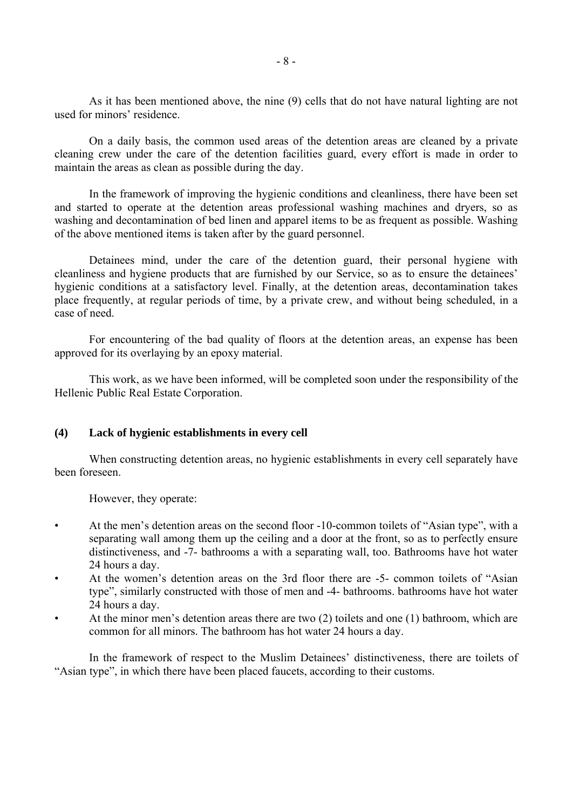As it has been mentioned above, the nine (9) cells that do not have natural lighting are not used for minors' residence.

 On a daily basis, the common used areas of the detention areas are cleaned by a private cleaning crew under the care of the detention facilities guard, every effort is made in order to maintain the areas as clean as possible during the day.

 In the framework of improving the hygienic conditions and cleanliness, there have been set and started to operate at the detention areas professional washing machines and dryers, so as washing and decontamination of bed linen and apparel items to be as frequent as possible. Washing of the above mentioned items is taken after by the guard personnel.

 Detainees mind, under the care of the detention guard, their personal hygiene with cleanliness and hygiene products that are furnished by our Service, so as to ensure the detainees<sup>7</sup> hygienic conditions at a satisfactory level. Finally, at the detention areas, decontamination takes place frequently, at regular periods of time, by a private crew, and without being scheduled, in a case of need.

 For encountering of the bad quality of floors at the detention areas, an expense has been approved for its overlaying by an epoxy material.

 This work, as we have been informed, will be completed soon under the responsibility of the Hellenic Public Real Estate Corporation.

#### **(4) Lack of hygienic establishments in every cell**

 When constructing detention areas, no hygienic establishments in every cell separately have been foreseen.

However, they operate:

- $\bullet$  At the men's detention areas on the second floor -10-common toilets of "Asian type", with a separating wall among them up the ceiling and a door at the front, so as to perfectly ensure distinctiveness, and -7- bathrooms a with a separating wall, too. Bathrooms have hot water 24 hours a day.
- At the women's detention areas on the 3rd floor there are -5- common toilets of "Asian type", similarly constructed with those of men and -4- bathrooms. bathrooms have hot water 24 hours a day.
- At the minor men's detention areas there are two  $(2)$  toilets and one  $(1)$  bathroom, which are common for all minors. The bathroom has hot water 24 hours a day.

In the framework of respect to the Muslim Detainees' distinctiveness, there are toilets of "Asian type", in which there have been placed faucets, according to their customs.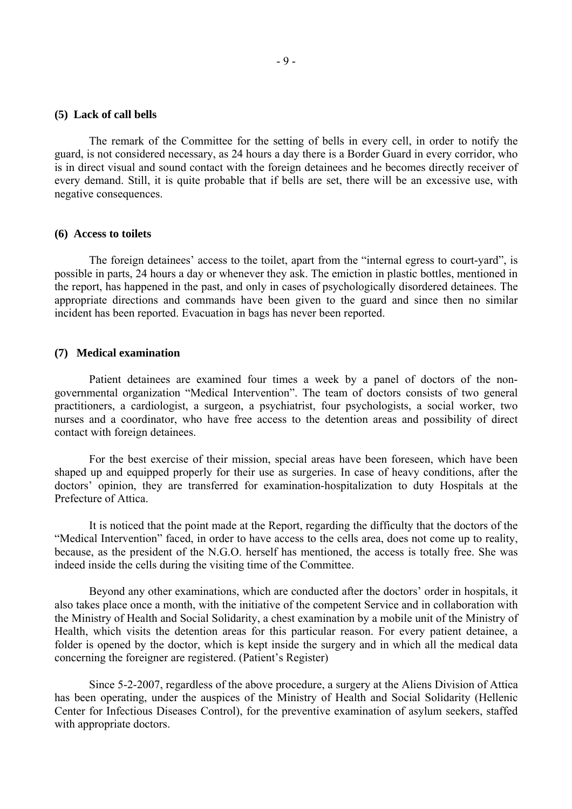#### **(5) Lack of call bells**

 The remark of the Committee for the setting of bells in every cell, in order to notify the guard, is not considered necessary, as 24 hours a day there is a Border Guard in every corridor, who is in direct visual and sound contact with the foreign detainees and he becomes directly receiver of every demand. Still, it is quite probable that if bells are set, there will be an excessive use, with negative consequences.

#### **(6) Access to toilets**

The foreign detainees' access to the toilet, apart from the "internal egress to court-yard", is possible in parts, 24 hours a day or whenever they ask. The emiction in plastic bottles, mentioned in the report, has happened in the past, and only in cases of psychologically disordered detainees. The appropriate directions and commands have been given to the guard and since then no similar incident has been reported. Evacuation in bags has never been reported.

#### **(7) Medical examination**

 Patient detainees are examined four times a week by a panel of doctors of the nongovernmental organization "Medical Intervention". The team of doctors consists of two general practitioners, a cardiologist, a surgeon, a psychiatrist, four psychologists, a social worker, two nurses and a coordinator, who have free access to the detention areas and possibility of direct contact with foreign detainees.

 For the best exercise of their mission, special areas have been foreseen, which have been shaped up and equipped properly for their use as surgeries. In case of heavy conditions, after the doctors' opinion, they are transferred for examination-hospitalization to duty Hospitals at the Prefecture of Attica.

 It is noticed that the point made at the Report, regarding the difficulty that the doctors of the ìMedical Interventionî faced, in order to have access to the cells area, does not come up to reality, because, as the president of the N.G.O. herself has mentioned, the access is totally free. She was indeed inside the cells during the visiting time of the Committee.

Beyond any other examinations, which are conducted after the doctors' order in hospitals, it also takes place once a month, with the initiative of the competent Service and in collaboration with the Ministry of Health and Social Solidarity, a chest examination by a mobile unit of the Ministry of Health, which visits the detention areas for this particular reason. For every patient detainee, a folder is opened by the doctor, which is kept inside the surgery and in which all the medical data concerning the foreigner are registered. (Patient's Register)

 Since 5-2-2007, regardless of the above procedure, a surgery at the Aliens Division of Attica has been operating, under the auspices of the Ministry of Health and Social Solidarity (Hellenic Center for Infectious Diseases Control), for the preventive examination of asylum seekers, staffed with appropriate doctors.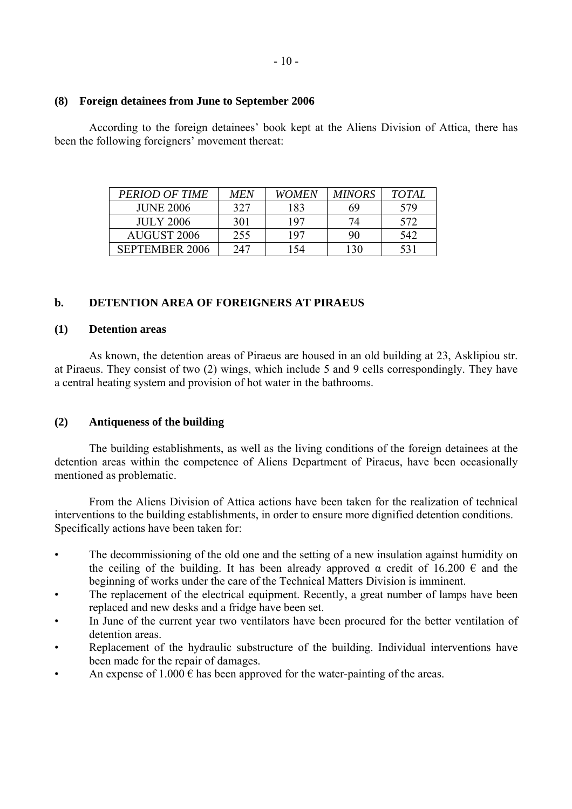# **(8) Foreign detainees from June to September 2006**

According to the foreign detainees' book kept at the Aliens Division of Attica, there has been the following foreigners' movement thereat:

| PERIOD OF TIME     | <b>MEN</b> | <b>WOMEN</b> | <b>MINORS</b> | <i>TOTAL</i> |
|--------------------|------------|--------------|---------------|--------------|
| <b>JUNE 2006</b>   | 327        | 183          | 69            | 579          |
| <b>JULY 2006</b>   | 301        | 197          | 74            | 572          |
| <b>AUGUST 2006</b> | 255        | 197          | 90            | 542.         |
| SEPTEMBER 2006     | 247        | l 54         | 130           | 531          |

# **b. DETENTION AREA OF FOREIGNERS AT PIRAEUS**

# **(1) Detention areas**

 As known, the detention areas of Piraeus are housed in an old building at 23, Asklipiou str. at Piraeus. They consist of two (2) wings, which include 5 and 9 cells correspondingly. They have a central heating system and provision of hot water in the bathrooms.

# **(2) Antiqueness of the building**

 The building establishments, as well as the living conditions of the foreign detainees at the detention areas within the competence of Aliens Department of Piraeus, have been occasionally mentioned as problematic.

 From the Aliens Division of Attica actions have been taken for the realization of technical interventions to the building establishments, in order to ensure more dignified detention conditions. Specifically actions have been taken for:

- The decommissioning of the old one and the setting of a new insulation against humidity on the ceiling of the building. It has been already approved  $\alpha$  credit of 16.200  $\epsilon$  and the beginning of works under the care of the Technical Matters Division is imminent.
- The replacement of the electrical equipment. Recently, a great number of lamps have been replaced and new desks and a fridge have been set.
- In June of the current year two ventilators have been procured for the better ventilation of detention areas.
- Replacement of the hydraulic substructure of the building. Individual interventions have been made for the repair of damages.
- An expense of  $1.000 \in$  has been approved for the water-painting of the areas.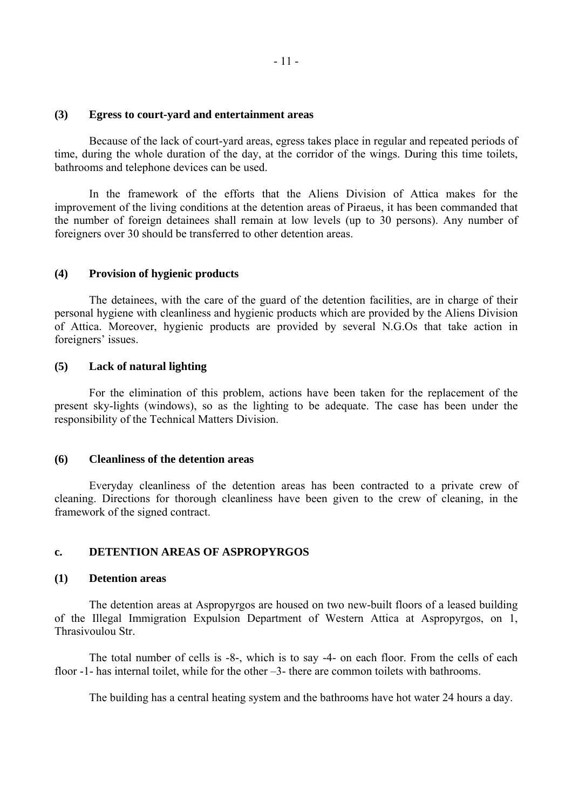#### **(3) Egress to court-yard and entertainment areas**

 Because of the lack of court-yard areas, egress takes place in regular and repeated periods of time, during the whole duration of the day, at the corridor of the wings. During this time toilets, bathrooms and telephone devices can be used.

 In the framework of the efforts that the Aliens Division of Attica makes for the improvement of the living conditions at the detention areas of Piraeus, it has been commanded that the number of foreign detainees shall remain at low levels (up to 30 persons). Any number of foreigners over 30 should be transferred to other detention areas.

#### **(4) Provision of hygienic products**

 The detainees, with the care of the guard of the detention facilities, are in charge of their personal hygiene with cleanliness and hygienic products which are provided by the Aliens Division of Attica. Moreover, hygienic products are provided by several N.G.Os that take action in foreigners' issues.

#### **(5) Lack of natural lighting**

 For the elimination of this problem, actions have been taken for the replacement of the present sky-lights (windows), so as the lighting to be adequate. The case has been under the responsibility of the Technical Matters Division.

## **(6) Cleanliness of the detention areas**

 Everyday cleanliness of the detention areas has been contracted to a private crew of cleaning. Directions for thorough cleanliness have been given to the crew of cleaning, in the framework of the signed contract.

## **c. DETENTION AREAS OF ASPROPYRGOS**

### **(1) Detention areas**

 The detention areas at Aspropyrgos are housed on two new-built floors of a leased building of the Illegal Immigration Expulsion Department of Western Attica at Aspropyrgos, on 1, Thrasivoulou Str.

 The total number of cells is -8-, which is to say -4- on each floor. From the cells of each floor  $-1$ - has internal toilet, while for the other  $-3$ - there are common toilets with bathrooms.

The building has a central heating system and the bathrooms have hot water 24 hours a day.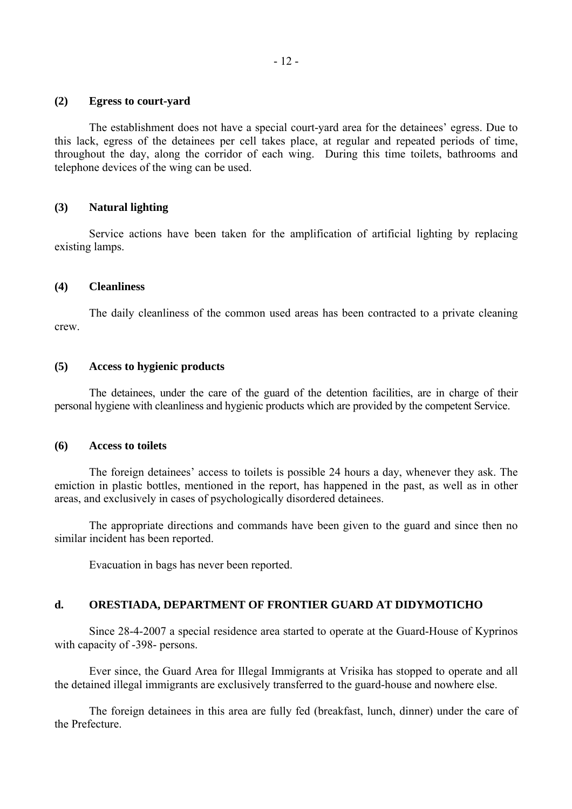## **(2) Egress to court-yard**

The establishment does not have a special court-yard area for the detainees' egress. Due to this lack, egress of the detainees per cell takes place, at regular and repeated periods of time, throughout the day, along the corridor of each wing. During this time toilets, bathrooms and telephone devices of the wing can be used.

### **(3) Natural lighting**

 Service actions have been taken for the amplification of artificial lighting by replacing existing lamps.

#### **(4) Cleanliness**

 The daily cleanliness of the common used areas has been contracted to a private cleaning crew.

#### **(5) Access to hygienic products**

 The detainees, under the care of the guard of the detention facilities, are in charge of their personal hygiene with cleanliness and hygienic products which are provided by the competent Service.

#### **(6) Access to toilets**

The foreign detainees' access to toilets is possible 24 hours a day, whenever they ask. The emiction in plastic bottles, mentioned in the report, has happened in the past, as well as in other areas, and exclusively in cases of psychologically disordered detainees.

 The appropriate directions and commands have been given to the guard and since then no similar incident has been reported.

Evacuation in bags has never been reported.

# **d. ORESTIADA, DEPARTMENT OF FRONTIER GUARD AT DIDYMOTICHO**

 Since 28-4-2007 a special residence area started to operate at the Guard-House of Kyprinos with capacity of -398- persons.

 Ever since, the Guard Area for Illegal Immigrants at Vrisika has stopped to operate and all the detained illegal immigrants are exclusively transferred to the guard-house and nowhere else.

 The foreign detainees in this area are fully fed (breakfast, lunch, dinner) under the care of the Prefecture.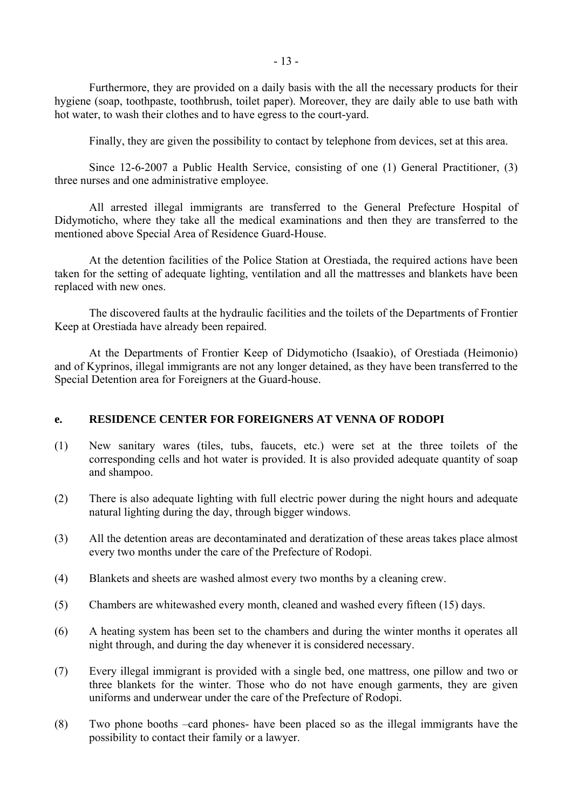Furthermore, they are provided on a daily basis with the all the necessary products for their hygiene (soap, toothpaste, toothbrush, toilet paper). Moreover, they are daily able to use bath with hot water, to wash their clothes and to have egress to the court-yard.

Finally, they are given the possibility to contact by telephone from devices, set at this area.

 Since 12-6-2007 a Public Health Service, consisting of one (1) General Practitioner, (3) three nurses and one administrative employee.

 All arrested illegal immigrants are transferred to the General Prefecture Hospital of Didymoticho, where they take all the medical examinations and then they are transferred to the mentioned above Special Area of Residence Guard-House.

 At the detention facilities of the Police Station at Orestiada, the required actions have been taken for the setting of adequate lighting, ventilation and all the mattresses and blankets have been replaced with new ones.

 The discovered faults at the hydraulic facilities and the toilets of the Departments of Frontier Keep at Orestiada have already been repaired.

 At the Departments of Frontier Keep of Didymoticho (Isaakio), of Orestiada (Heimonio) and of Kyprinos, illegal immigrants are not any longer detained, as they have been transferred to the Special Detention area for Foreigners at the Guard-house.

# **e. RESIDENCE CENTER FOR FOREIGNERS AT VENNA OF RODOPI**

- (1) New sanitary wares (tiles, tubs, faucets, etc.) were set at the three toilets of the corresponding cells and hot water is provided. It is also provided adequate quantity of soap and shampoo.
- (2) There is also adequate lighting with full electric power during the night hours and adequate natural lighting during the day, through bigger windows.
- (3) All the detention areas are decontaminated and deratization of these areas takes place almost every two months under the care of the Prefecture of Rodopi.
- (4) Blankets and sheets are washed almost every two months by a cleaning crew.
- (5) Chambers are whitewashed every month, cleaned and washed every fifteen (15) days.
- (6) A heating system has been set to the chambers and during the winter months it operates all night through, and during the day whenever it is considered necessary.
- (7) Every illegal immigrant is provided with a single bed, one mattress, one pillow and two or three blankets for the winter. Those who do not have enough garments, they are given uniforms and underwear under the care of the Prefecture of Rodopi.
- $(8)$  Two phone booths  $-card$  phones- have been placed so as the illegal immigrants have the possibility to contact their family or a lawyer.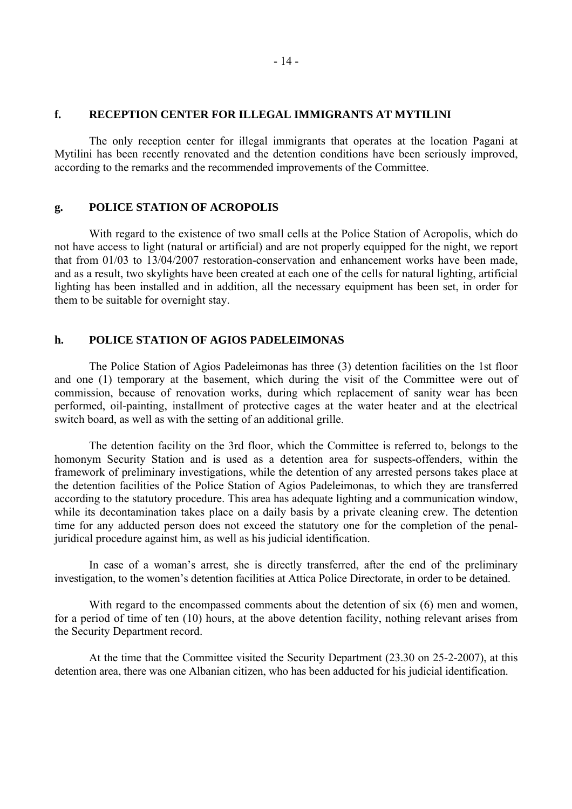## **f. RECEPTION CENTER FOR ILLEGAL IMMIGRANTS AT MYTILINI**

 The only reception center for illegal immigrants that operates at the location Pagani at Mytilini has been recently renovated and the detention conditions have been seriously improved, according to the remarks and the recommended improvements of the Committee.

# **g. POLICE STATION OF ACROPOLIS**

 With regard to the existence of two small cells at the Police Station of Acropolis, which do not have access to light (natural or artificial) and are not properly equipped for the night, we report that from 01/03 to 13/04/2007 restoration-conservation and enhancement works have been made, and as a result, two skylights have been created at each one of the cells for natural lighting, artificial lighting has been installed and in addition, all the necessary equipment has been set, in order for them to be suitable for overnight stay.

#### **h. POLICE STATION OF AGIOS PADELEIMONAS**

 The Police Station of Agios Padeleimonas has three (3) detention facilities on the 1st floor and one (1) temporary at the basement, which during the visit of the Committee were out of commission, because of renovation works, during which replacement of sanity wear has been performed, oil-painting, installment of protective cages at the water heater and at the electrical switch board, as well as with the setting of an additional grille.

 The detention facility on the 3rd floor, which the Committee is referred to, belongs to the homonym Security Station and is used as a detention area for suspects-offenders, within the framework of preliminary investigations, while the detention of any arrested persons takes place at the detention facilities of the Police Station of Agios Padeleimonas, to which they are transferred according to the statutory procedure. This area has adequate lighting and a communication window, while its decontamination takes place on a daily basis by a private cleaning crew. The detention time for any adducted person does not exceed the statutory one for the completion of the penaljuridical procedure against him, as well as his judicial identification.

In case of a woman's arrest, she is directly transferred, after the end of the preliminary investigation, to the women's detention facilities at Attica Police Directorate, in order to be detained.

With regard to the encompassed comments about the detention of six (6) men and women, for a period of time of ten (10) hours, at the above detention facility, nothing relevant arises from the Security Department record.

 At the time that the Committee visited the Security Department (23.30 on 25-2-2007), at this detention area, there was one Albanian citizen, who has been adducted for his judicial identification.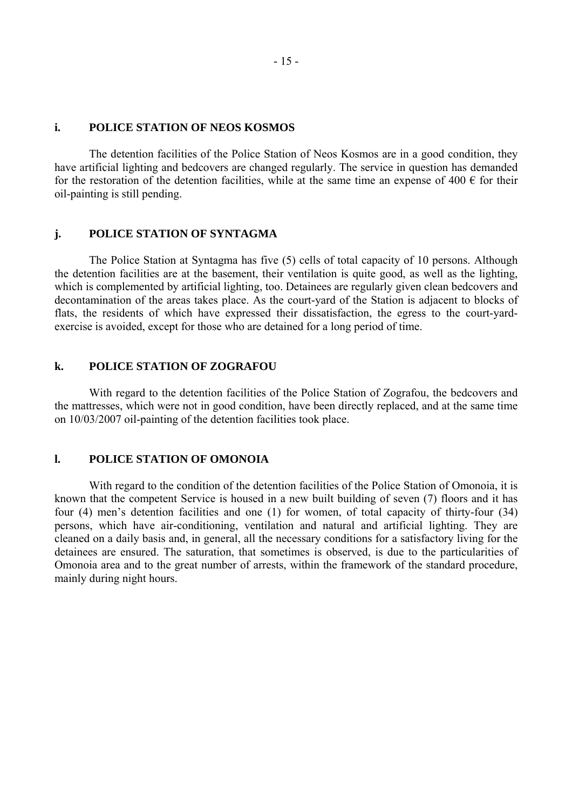#### **i. POLICE STATION OF NEOS KOSMOS**

 The detention facilities of the Police Station of Neos Kosmos are in a good condition, they have artificial lighting and bedcovers are changed regularly. The service in question has demanded for the restoration of the detention facilities, while at the same time an expense of 400  $\epsilon$  for their oil-painting is still pending.

## **j. POLICE STATION OF SYNTAGMA**

 The Police Station at Syntagma has five (5) cells of total capacity of 10 persons. Although the detention facilities are at the basement, their ventilation is quite good, as well as the lighting, which is complemented by artificial lighting, too. Detainees are regularly given clean bedcovers and decontamination of the areas takes place. As the court-yard of the Station is adjacent to blocks of flats, the residents of which have expressed their dissatisfaction, the egress to the court-yardexercise is avoided, except for those who are detained for a long period of time.

# **k. POLICE STATION OF ZOGRAFOU**

 With regard to the detention facilities of the Police Station of Zografou, the bedcovers and the mattresses, which were not in good condition, have been directly replaced, and at the same time on 10/03/2007 oil-painting of the detention facilities took place.

# **l. POLICE STATION OF OMONOIA**

 With regard to the condition of the detention facilities of the Police Station of Omonoia, it is known that the competent Service is housed in a new built building of seven (7) floors and it has four  $(4)$  men's detention facilities and one  $(1)$  for women, of total capacity of thirty-four  $(34)$ persons, which have air-conditioning, ventilation and natural and artificial lighting. They are cleaned on a daily basis and, in general, all the necessary conditions for a satisfactory living for the detainees are ensured. The saturation, that sometimes is observed, is due to the particularities of Omonoia area and to the great number of arrests, within the framework of the standard procedure, mainly during night hours.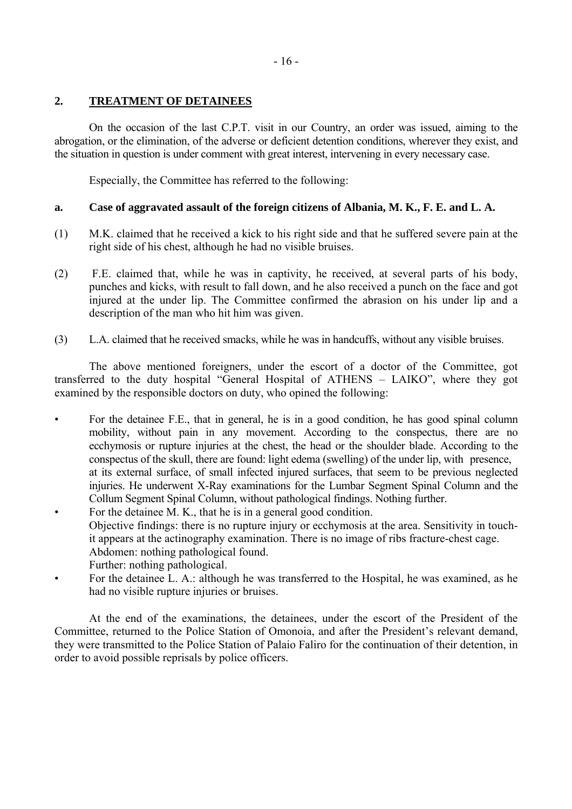# **2. TREATMENT OF DETAINEES**

 On the occasion of the last C.P.T. visit in our Country, an order was issued, aiming to the abrogation, or the elimination, of the adverse or deficient detention conditions, wherever they exist, and the situation in question is under comment with great interest, intervening in every necessary case.

Especially, the Committee has referred to the following:

# **a. Case of aggravated assault of the foreign citizens of Albania, M. K., F. E. and L. A.**

- (1) M.K. claimed that he received a kick to his right side and that he suffered severe pain at the right side of his chest, although he had no visible bruises.
- (2) F.E. claimed that, while he was in captivity, he received, at several parts of his body, punches and kicks, with result to fall down, and he also received a punch on the face and got injured at the under lip. The Committee confirmed the abrasion on his under lip and a description of the man who hit him was given.
- (3) L.A. claimed that he received smacks, while he was in handcuffs, without any visible bruises.

 The above mentioned foreigners, under the escort of a doctor of the Committee, got transferred to the duty hospital "General Hospital of  $ATHENS - LAIKO$ ", where they got examined by the responsible doctors on duty, who opined the following:

- For the detainee F.E., that in general, he is in a good condition, he has good spinal column mobility, without pain in any movement. According to the conspectus, there are no ecchymosis or rupture injuries at the chest, the head or the shoulder blade. According to the conspectus of the skull, there are found: light edema (swelling) of the under lip, with presence, at its external surface, of small infected injured surfaces, that seem to be previous neglected injuries. He underwent X-Ray examinations for the Lumbar Segment Spinal Column and the Collum Segment Spinal Column, without pathological findings. Nothing further.
- For the detainee M. K., that he is in a general good condition. Objective findings: there is no rupture injury or ecchymosis at the area. Sensitivity in touch it appears at the actinography examination. There is no image of ribs fracture-chest cage. Abdomen: nothing pathological found. Further: nothing pathological.
- For the detainee L. A.: although he was transferred to the Hospital, he was examined, as he had no visible rupture injuries or bruises.

 At the end of the examinations, the detainees, under the escort of the President of the Committee, returned to the Police Station of Omonoia, and after the President's relevant demand, they were transmitted to the Police Station of Palaio Faliro for the continuation of their detention, in order to avoid possible reprisals by police officers.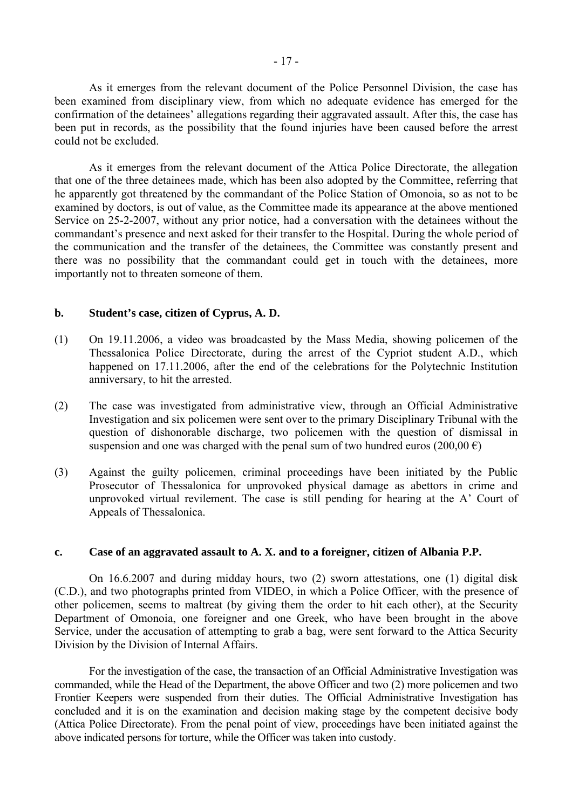As it emerges from the relevant document of the Police Personnel Division, the case has been examined from disciplinary view, from which no adequate evidence has emerged for the confirmation of the detainees' allegations regarding their aggravated assault. After this, the case has been put in records, as the possibility that the found injuries have been caused before the arrest could not be excluded.

 As it emerges from the relevant document of the Attica Police Directorate, the allegation that one of the three detainees made, which has been also adopted by the Committee, referring that he apparently got threatened by the commandant of the Police Station of Omonoia, so as not to be examined by doctors, is out of value, as the Committee made its appearance at the above mentioned Service on 25-2-2007, without any prior notice, had a conversation with the detainees without the commandant's presence and next asked for their transfer to the Hospital. During the whole period of the communication and the transfer of the detainees, the Committee was constantly present and there was no possibility that the commandant could get in touch with the detainees, more importantly not to threaten someone of them.

#### **b. Student's case, citizen of Cyprus, A. D.**

- (1) On 19.11.2006, a video was broadcasted by the Mass Media, showing policemen of the Thessalonica Police Directorate, during the arrest of the Cypriot student A.D., which happened on 17.11.2006, after the end of the celebrations for the Polytechnic Institution anniversary, to hit the arrested.
- (2) The case was investigated from administrative view, through an Official Administrative Investigation and six policemen were sent over to the primary Disciplinary Tribunal with the question of dishonorable discharge, two policemen with the question of dismissal in suspension and one was charged with the penal sum of two hundred euros (200,00  $\epsilon$ )
- (3) Against the guilty policemen, criminal proceedings have been initiated by the Public Prosecutor of Thessalonica for unprovoked physical damage as abettors in crime and unprovoked virtual revilement. The case is still pending for hearing at the  $A'$  Court of Appeals of Thessalonica.

## **c. Case of an aggravated assault to A. X. and to a foreigner, citizen of Albania P.P.**

 On 16.6.2007 and during midday hours, two (2) sworn attestations, one (1) digital disk (C.D.), and two photographs printed from VIDEO, in which a Police Officer, with the presence of other policemen, seems to maltreat (by giving them the order to hit each other), at the Security Department of Omonoia, one foreigner and one Greek, who have been brought in the above Service, under the accusation of attempting to grab a bag, were sent forward to the Attica Security Division by the Division of Internal Affairs.

 For the investigation of the case, the transaction of an Official Administrative Investigation was commanded, while the Head of the Department, the above Officer and two (2) more policemen and two Frontier Keepers were suspended from their duties. The Official Administrative Investigation has concluded and it is on the examination and decision making stage by the competent decisive body (Attica Police Directorate). From the penal point of view, proceedings have been initiated against the above indicated persons for torture, while the Officer was taken into custody.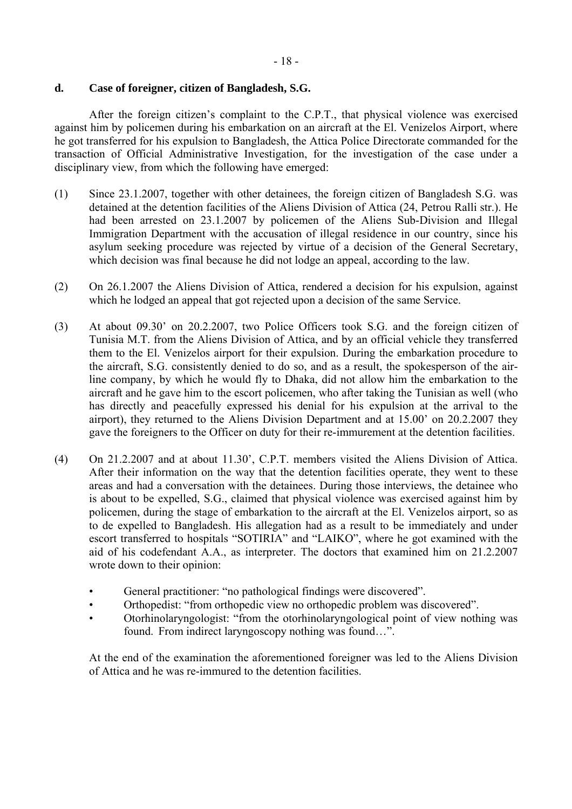# **d. Case of foreigner, citizen of Bangladesh, S.G.**

After the foreign citizen's complaint to the C.P.T., that physical violence was exercised against him by policemen during his embarkation on an aircraft at the El. Venizelos Airport, where he got transferred for his expulsion to Bangladesh, the Attica Police Directorate commanded for the transaction of Official Administrative Investigation, for the investigation of the case under a disciplinary view, from which the following have emerged:

- (1) Since 23.1.2007, together with other detainees, the foreign citizen of Bangladesh S.G. was detained at the detention facilities of the Aliens Division of Attica (24, Petrou Ralli str.). He had been arrested on 23.1.2007 by policemen of the Aliens Sub-Division and Illegal Immigration Department with the accusation of illegal residence in our country, since his asylum seeking procedure was rejected by virtue of a decision of the General Secretary, which decision was final because he did not lodge an appeal, according to the law.
- (2) On 26.1.2007 the Aliens Division of Attica, rendered a decision for his expulsion, against which he lodged an appeal that got rejected upon a decision of the same Service.
- $(3)$  At about 09.30' on 20.2.2007, two Police Officers took S.G. and the foreign citizen of Tunisia M.T. from the Aliens Division of Attica, and by an official vehicle they transferred them to the El. Venizelos airport for their expulsion. During the embarkation procedure to the aircraft, S.G. consistently denied to do so, and as a result, the spokesperson of the air line company, by which he would fly to Dhaka, did not allow him the embarkation to the aircraft and he gave him to the escort policemen, who after taking the Tunisian as well (who has directly and peacefully expressed his denial for his expulsion at the arrival to the airport), they returned to the Aliens Division Department and at  $15.00$ <sup>o</sup> on  $20.2.2007$  they gave the foreigners to the Officer on duty for their re-immurement at the detention facilities.
- (4) On  $21.2.2007$  and at about 11.30<sup>o</sup>, C.P.T. members visited the Aliens Division of Attica. After their information on the way that the detention facilities operate, they went to these areas and had a conversation with the detainees. During those interviews, the detainee who is about to be expelled, S.G., claimed that physical violence was exercised against him by policemen, during the stage of embarkation to the aircraft at the El. Venizelos airport, so as to de expelled to Bangladesh. His allegation had as a result to be immediately and under escort transferred to hospitals "SOTIRIA" and "LAIKO", where he got examined with the aid of his codefendant A.A., as interpreter. The doctors that examined him on 21.2.2007 wrote down to their opinion:
	- General practitioner: "no pathological findings were discovered".
	- Orthopedist: "from orthopedic view no orthopedic problem was discovered".
	- Otorhinolaryngologist: "from the otorhinolaryngological point of view nothing was found. From indirect laryngoscopy nothing was found...".

 At the end of the examination the aforementioned foreigner was led to the Aliens Division of Attica and he was re-immured to the detention facilities.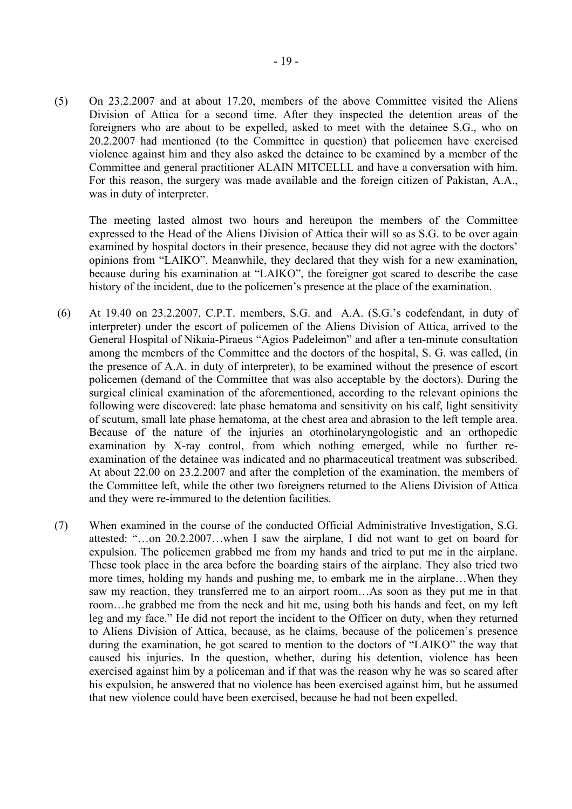(5) On 23.2.2007 and at about 17.20, members of the above Committee visited the Aliens Division of Attica for a second time. After they inspected the detention areas of the foreigners who are about to be expelled, asked to meet with the detainee S.G., who on 20.2.2007 had mentioned (to the Committee in question) that policemen have exercised violence against him and they also asked the detainee to be examined by a member of the Committee and general practitioner ALAIN MITCELLL and have a conversation with him. For this reason, the surgery was made available and the foreign citizen of Pakistan, A.A., was in duty of interpreter.

 The meeting lasted almost two hours and hereupon the members of the Committee expressed to the Head of the Aliens Division of Attica their will so as S.G. to be over again examined by hospital doctors in their presence, because they did not agree with the doctors' opinions from "LAIKO". Meanwhile, they declared that they wish for a new examination, because during his examination at "LAIKO", the foreigner got scared to describe the case history of the incident, due to the policemen's presence at the place of the examination.

- $(6)$  At 19.40 on 23.2.2007, C.P.T. members, S.G. and A.A. (S.G.'s codefendant, in duty of interpreter) under the escort of policemen of the Aliens Division of Attica, arrived to the General Hospital of Nikaia-Piraeus "Agios Padeleimon" and after a ten-minute consultation among the members of the Committee and the doctors of the hospital, S. G. was called, (in the presence of A.A. in duty of interpreter), to be examined without the presence of escort policemen (demand of the Committee that was also acceptable by the doctors). During the surgical clinical examination of the aforementioned, according to the relevant opinions the following were discovered: late phase hematoma and sensitivity on his calf, light sensitivity of scutum, small late phase hematoma, at the chest area and abrasion to the left temple area. Because of the nature of the injuries an otorhinolaryngologistic and an orthopedic examination by X-ray control, from which nothing emerged, while no further re examination of the detainee was indicated and no pharmaceutical treatment was subscribed. At about 22.00 on 23.2.2007 and after the completion of the examination, the members of the Committee left, while the other two foreigners returned to the Aliens Division of Attica and they were re-immured to the detention facilities.
- (7) When examined in the course of the conducted Official Administrative Investigation, S.G. attested: "...on 20.2.2007...when I saw the airplane, I did not want to get on board for expulsion. The policemen grabbed me from my hands and tried to put me in the airplane. These took place in the area before the boarding stairs of the airplane. They also tried two more times, holding my hands and pushing me, to embark me in the airplane...When they saw my reaction, they transferred me to an airport room...As soon as they put me in that room...he grabbed me from the neck and hit me, using both his hands and feet, on my left leg and my face." He did not report the incident to the Officer on duty, when they returned to Aliens Division of Attica, because, as he claims, because of the policemen's presence during the examination, he got scared to mention to the doctors of "LAIKO" the way that caused his injuries. In the question, whether, during his detention, violence has been exercised against him by a policeman and if that was the reason why he was so scared after his expulsion, he answered that no violence has been exercised against him, but he assumed that new violence could have been exercised, because he had not been expelled.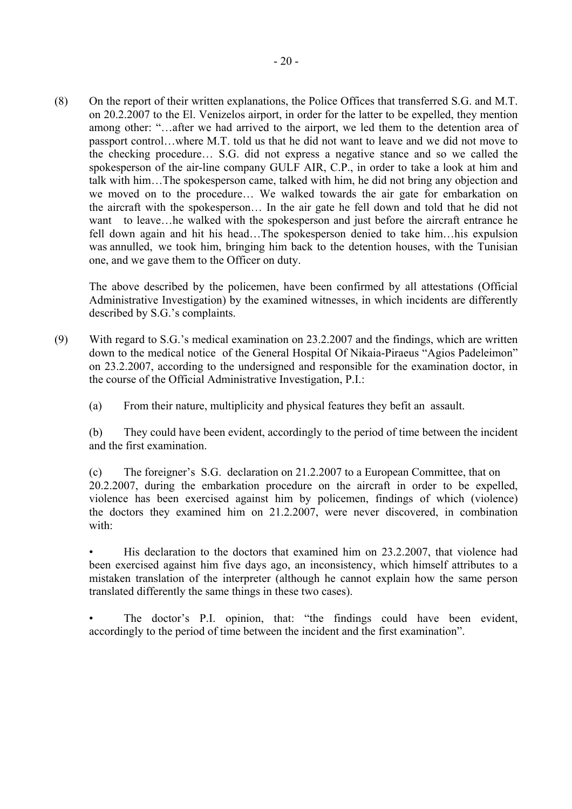(8) On the report of their written explanations, the Police Offices that transferred S.G. and M.T. on 20.2.2007 to the El. Venizelos airport, in order for the latter to be expelled, they mention among other: "...after we had arrived to the airport, we led them to the detention area of passport control...where M.T. told us that he did not want to leave and we did not move to the checking procedure... S.G. did not express a negative stance and so we called the spokesperson of the air-line company GULF AIR, C.P., in order to take a look at him and talk with him...The spokesperson came, talked with him, he did not bring any objection and we moved on to the procedure... We walked towards the air gate for embarkation on the aircraft with the spokesperson... In the air gate he fell down and told that he did not want to leave...he walked with the spokesperson and just before the aircraft entrance he fell down again and hit his head...The spokesperson denied to take him $\ldots$ his expulsion was annulled, we took him, bringing him back to the detention houses, with the Tunisian one, and we gave them to the Officer on duty.

 The above described by the policemen, have been confirmed by all attestations (Official Administrative Investigation) by the examined witnesses, in which incidents are differently described by S.G.'s complaints.

(9) With regard to S.G.'s medical examination on  $23.2.2007$  and the findings, which are written down to the medical notice of the General Hospital Of Nikaia-Piraeus "Agios Padeleimon" on 23.2.2007, according to the undersigned and responsible for the examination doctor, in the course of the Official Administrative Investigation, P.I.:

(a) From their nature, multiplicity and physical features they befit an assault.

 (b) They could have been evident, accordingly to the period of time between the incident and the first examination.

(c) The foreigner's S.G. declaration on 21.2.2007 to a European Committee, that on 20.2.2007, during the embarkation procedure on the aircraft in order to be expelled, violence has been exercised against him by policemen, findings of which (violence) the doctors they examined him on 21.2.2007, were never discovered, in combination with:

His declaration to the doctors that examined him on 23.2.2007, that violence had been exercised against him five days ago, an inconsistency, which himself attributes to a mistaken translation of the interpreter (although he cannot explain how the same person translated differently the same things in these two cases).

The doctor's P.I. opinion, that: "the findings could have been evident, accordingly to the period of time between the incident and the first examination".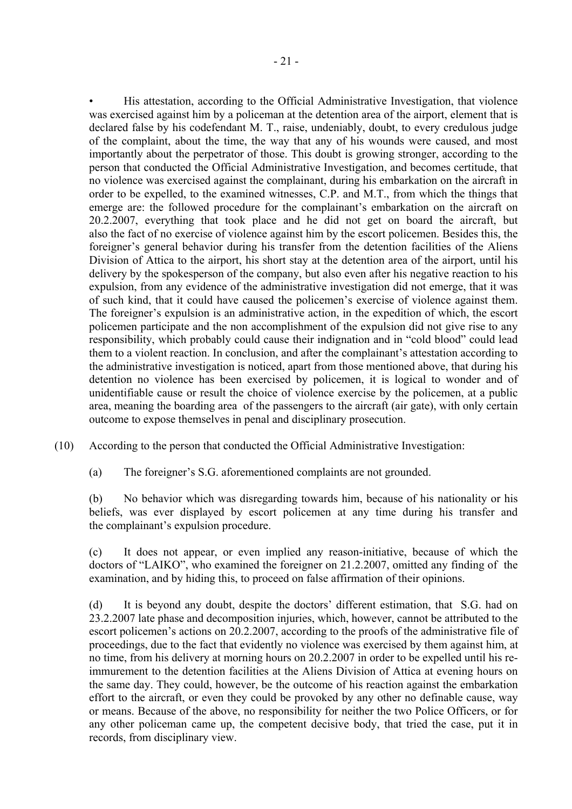His attestation, according to the Official Administrative Investigation, that violence was exercised against him by a policeman at the detention area of the airport, element that is declared false by his codefendant M. T., raise, undeniably, doubt, to every credulous judge of the complaint, about the time, the way that any of his wounds were caused, and most importantly about the perpetrator of those. This doubt is growing stronger, according to the person that conducted the Official Administrative Investigation, and becomes certitude, that no violence was exercised against the complainant, during his embarkation on the aircraft in order to be expelled, to the examined witnesses, C.P. and M.T., from which the things that emerge are: the followed procedure for the complainant's embarkation on the aircraft on 20.2.2007, everything that took place and he did not get on board the aircraft, but also the fact of no exercise of violence against him by the escort policemen. Besides this, the foreigner's general behavior during his transfer from the detention facilities of the Aliens Division of Attica to the airport, his short stay at the detention area of the airport, until his delivery by the spokesperson of the company, but also even after his negative reaction to his expulsion, from any evidence of the administrative investigation did not emerge, that it was of such kind, that it could have caused the policemen's exercise of violence against them. The foreigner's expulsion is an administrative action, in the expedition of which, the escort policemen participate and the non accomplishment of the expulsion did not give rise to any responsibility, which probably could cause their indignation and in "cold blood" could lead them to a violent reaction. In conclusion, and after the complainant's attestation according to the administrative investigation is noticed, apart from those mentioned above, that during his detention no violence has been exercised by policemen, it is logical to wonder and of unidentifiable cause or result the choice of violence exercise by the policemen, at a public area, meaning the boarding area of the passengers to the aircraft (air gate), with only certain outcome to expose themselves in penal and disciplinary prosecution.

(10) According to the person that conducted the Official Administrative Investigation:

(a) The foreigner's S.G. aforementioned complaints are not grounded.

 (b) No behavior which was disregarding towards him, because of his nationality or his beliefs, was ever displayed by escort policemen at any time during his transfer and the complainant's expulsion procedure.

 (c) It does not appear, or even implied any reason-initiative, because of which the doctors of "LAIKO", who examined the foreigner on 21.2.2007, omitted any finding of the examination, and by hiding this, to proceed on false affirmation of their opinions.

(d) It is beyond any doubt, despite the doctors' different estimation, that S.G. had on 23.2.2007 late phase and decomposition injuries, which, however, cannot be attributed to the escort policemen's actions on 20.2.2007, according to the proofs of the administrative file of proceedings, due to the fact that evidently no violence was exercised by them against him, at no time, from his delivery at morning hours on 20.2.2007 in order to be expelled until his re immurement to the detention facilities at the Aliens Division of Attica at evening hours on the same day. They could, however, be the outcome of his reaction against the embarkation effort to the aircraft, or even they could be provoked by any other no definable cause, way or means. Because of the above, no responsibility for neither the two Police Officers, or for any other policeman came up, the competent decisive body, that tried the case, put it in records, from disciplinary view.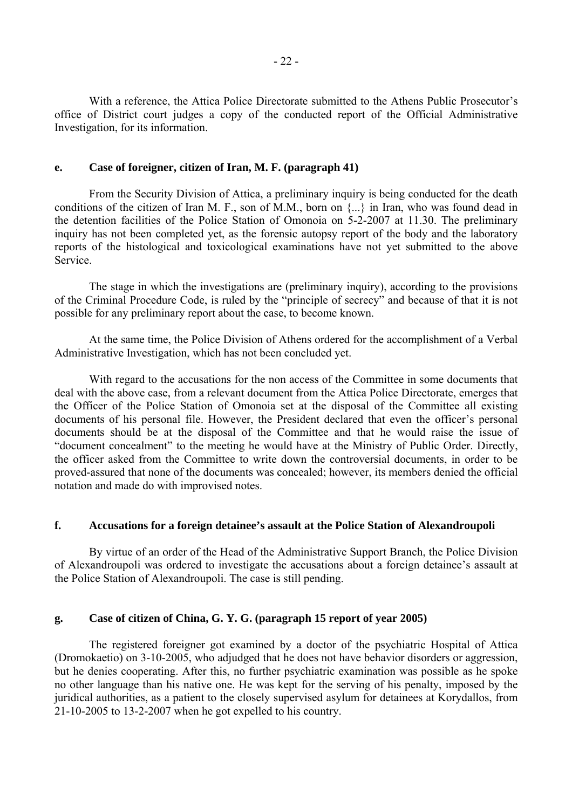With a reference, the Attica Police Directorate submitted to the Athens Public Prosecutor's office of District court judges a copy of the conducted report of the Official Administrative Investigation, for its information.

#### **e. Case of foreigner, citizen of Iran, M. F. (paragraph 41)**

 From the Security Division of Attica, a preliminary inquiry is being conducted for the death conditions of the citizen of Iran M. F., son of M.M., born on {...} in Iran, who was found dead in the detention facilities of the Police Station of Omonoia on 5-2-2007 at 11.30. The preliminary inquiry has not been completed yet, as the forensic autopsy report of the body and the laboratory reports of the histological and toxicological examinations have not yet submitted to the above Service.

 The stage in which the investigations are (preliminary inquiry), according to the provisions of the Criminal Procedure Code, is ruled by the "principle of secrecy" and because of that it is not possible for any preliminary report about the case, to become known.

 At the same time, the Police Division of Athens ordered for the accomplishment of a Verbal Administrative Investigation, which has not been concluded yet.

 With regard to the accusations for the non access of the Committee in some documents that deal with the above case, from a relevant document from the Attica Police Directorate, emerges that the Officer of the Police Station of Omonoia set at the disposal of the Committee all existing documents of his personal file. However, the President declared that even the officer's personal documents should be at the disposal of the Committee and that he would raise the issue of "document concealment" to the meeting he would have at the Ministry of Public Order. Directly, the officer asked from the Committee to write down the controversial documents, in order to be proved-assured that none of the documents was concealed; however, its members denied the official notation and made do with improvised notes.

## **f. Accusations for a foreign detainee's assault at the Police Station of Alexandroupoli**

 By virtue of an order of the Head of the Administrative Support Branch, the Police Division of Alexandroupoli was ordered to investigate the accusations about a foreign detainee's assault at the Police Station of Alexandroupoli. The case is still pending.

#### **g. Case of citizen of China, G. Y. G. (paragraph 15 report of year 2005)**

 The registered foreigner got examined by a doctor of the psychiatric Hospital of Attica (Dromokaetio) on 3-10-2005, who adjudged that he does not have behavior disorders or aggression, but he denies cooperating. After this, no further psychiatric examination was possible as he spoke no other language than his native one. He was kept for the serving of his penalty, imposed by the juridical authorities, as a patient to the closely supervised asylum for detainees at Korydallos, from 21-10-2005 to 13-2-2007 when he got expelled to his country.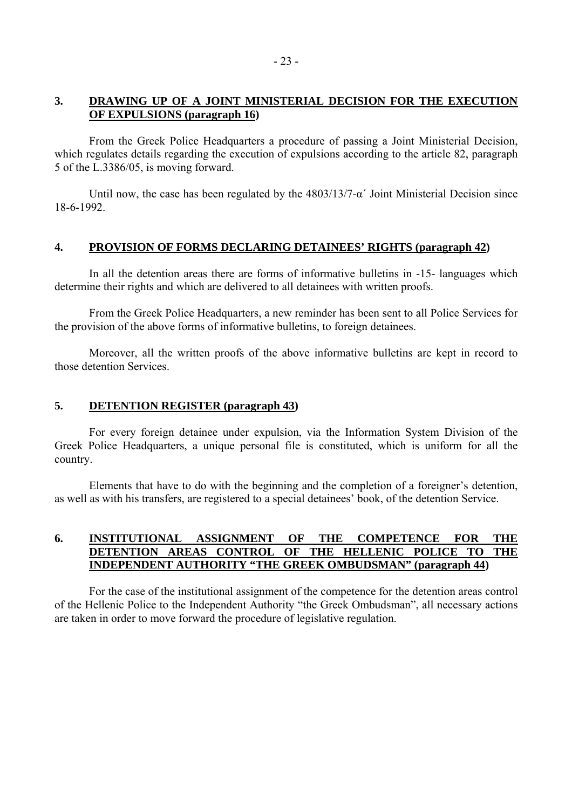# **3. DRAWING UP OF A JOINT MINISTERIAL DECISION FOR THE EXECUTION OF EXPULSIONS (paragraph 16)**

 From the Greek Police Headquarters a procedure of passing a Joint Ministerial Decision, which regulates details regarding the execution of expulsions according to the article 82, paragraph 5 of the L.3386/05, is moving forward.

Until now, the case has been regulated by the  $4803/13/7$ - $\alpha'$  Joint Ministerial Decision since 18-6-1992.

## **4. PROVISION OF FORMS DECLARING DETAINEES' RIGHTS (paragraph 42)**

 In all the detention areas there are forms of informative bulletins in -15- languages which determine their rights and which are delivered to all detainees with written proofs.

 From the Greek Police Headquarters, a new reminder has been sent to all Police Services for the provision of the above forms of informative bulletins, to foreign detainees.

 Moreover, all the written proofs of the above informative bulletins are kept in record to those detention Services.

#### **5. DETENTION REGISTER (paragraph 43)**

 For every foreign detainee under expulsion, via the Information System Division of the Greek Police Headquarters, a unique personal file is constituted, which is uniform for all the country.

Elements that have to do with the beginning and the completion of a foreigner's detention, as well as with his transfers, are registered to a special detainees' book, of the detention Service.

# **6. INSTITUTIONAL ASSIGNMENT OF THE COMPETENCE FOR THE DETENTION AREAS CONTROL OF THE HELLENIC POLICE TO THE INDEPENDENT AUTHORITY "THE GREEK OMBUDSMAN" (paragraph 44)**

 For the case of the institutional assignment of the competence for the detention areas control of the Hellenic Police to the Independent Authority "the Greek Ombudsman", all necessary actions are taken in order to move forward the procedure of legislative regulation.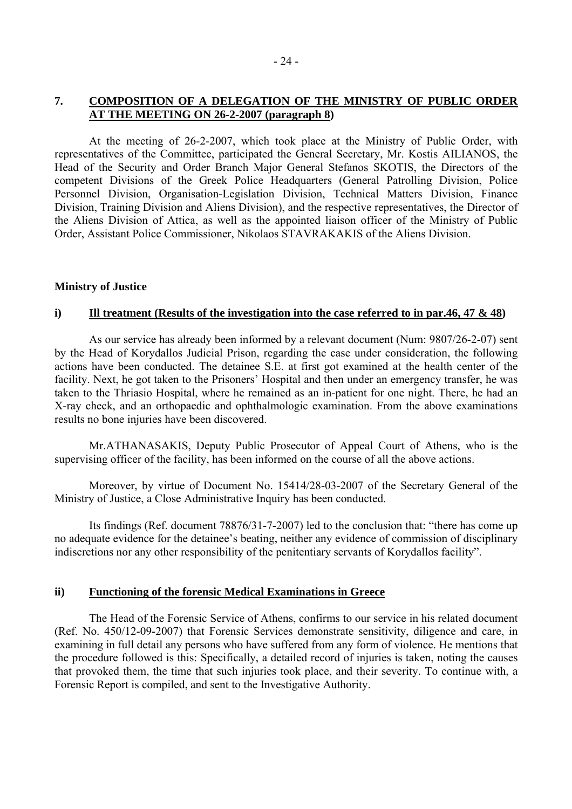# **7. COMPOSITION OF A DELEGATION OF THE MINISTRY OF PUBLIC ORDER AT THE MEETING ON 26-2-2007 (paragraph 8)**

 At the meeting of 26-2-2007, which took place at the Ministry of Public Order, with representatives of the Committee, participated the General Secretary, Mr. Kostis AILIANOS, the Head of the Security and Order Branch Major General Stefanos SKOTIS, the Directors of the competent Divisions of the Greek Police Headquarters (General Patrolling Division, Police Personnel Division, Organisation-Legislation Division, Technical Matters Division, Finance Division, Training Division and Aliens Division), and the respective representatives, the Director of the Aliens Division of Attica, as well as the appointed liaison officer of the Ministry of Public Order, Assistant Police Commissioner, Nikolaos STAVRAKAKIS of the Aliens Division.

## **Ministry of Justice**

## **i) Ill treatment (Results of the investigation into the case referred to in par.46, 47 & 48)**

 As our service has already been informed by a relevant document (Num: 9807/26-2-07) sent by the Head of Korydallos Judicial Prison, regarding the case under consideration, the following actions have been conducted. The detainee S.E. at first got examined at the health center of the facility. Next, he got taken to the Prisoners' Hospital and then under an emergency transfer, he was taken to the Thriasio Hospital, where he remained as an in-patient for one night. There, he had an X-ray check, and an orthopaedic and ophthalmologic examination. From the above examinations results no bone injuries have been discovered.

 Mr.ATHANASAKIS, Deputy Public Prosecutor of Appeal Court of Athens, who is the supervising officer of the facility, has been informed on the course of all the above actions.

 Moreover, by virtue of Document No. 15414/28-03-2007 of the Secretary General of the Ministry of Justice, a Close Administrative Inquiry has been conducted.

Its findings (Ref. document  $78876/31 - 7 - 2007$ ) led to the conclusion that: "there has come up no adequate evidence for the detainee's beating, neither any evidence of commission of disciplinary indiscretions nor any other responsibility of the penitentiary servants of Korydallos facility".

#### **ii) Functioning of the forensic Medical Examinations in Greece**

 The Head of the Forensic Service of Athens, confirms to our service in his related document (Ref. No. 450/12-09-2007) that Forensic Services demonstrate sensitivity, diligence and care, in examining in full detail any persons who have suffered from any form of violence. He mentions that the procedure followed is this: Specifically, a detailed record of injuries is taken, noting the causes that provoked them, the time that such injuries took place, and their severity. To continue with, a Forensic Report is compiled, and sent to the Investigative Authority.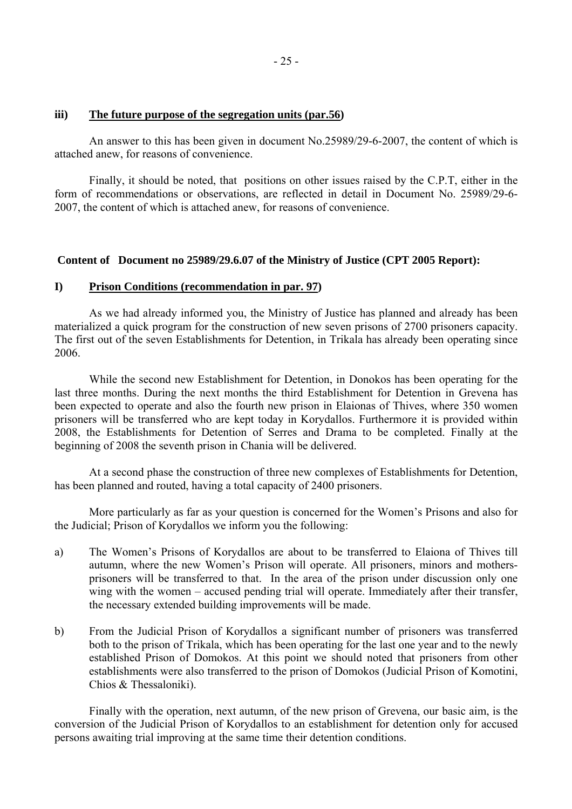#### **iii) The future purpose of the segregation units (par.56)**

 An answer to this has been given in document No.25989/29-6-2007, the content of which is attached anew, for reasons of convenience.

 Finally, it should be noted, that positions on other issues raised by the C.P.T, either in the form of recommendations or observations, are reflected in detail in Document No. 25989/29-6- 2007, the content of which is attached anew, for reasons of convenience.

#### **Content of Document no 25989/29.6.07 of the Ministry of Justice (CPT 2005 Report):**

#### **I) Prison Conditions (recommendation in par. 97)**

 As we had already informed you, the Ministry of Justice has planned and already has been materialized a quick program for the construction of new seven prisons of 2700 prisoners capacity. The first out of the seven Establishments for Detention, in Trikala has already been operating since 2006.

 While the second new Establishment for Detention, in Donokos has been operating for the last three months. During the next months the third Establishment for Detention in Grevena has been expected to operate and also the fourth new prison in Elaionas of Thives, where 350 women prisoners will be transferred who are kept today in Korydallos. Furthermore it is provided within 2008, the Establishments for Detention of Serres and Drama to be completed. Finally at the beginning of 2008 the seventh prison in Chania will be delivered.

 At a second phase the construction of three new complexes of Establishments for Detention, has been planned and routed, having a total capacity of 2400 prisoners.

More particularly as far as your question is concerned for the Women's Prisons and also for the Judicial; Prison of Korydallos we inform you the following:

- a) The Women's Prisons of Korydallos are about to be transferred to Elaiona of Thives till autumn, where the new Women's Prison will operate. All prisoners, minors and mothers prisoners will be transferred to that. In the area of the prison under discussion only one wing with the women  $-$  accused pending trial will operate. Immediately after their transfer, the necessary extended building improvements will be made.
- b) From the Judicial Prison of Korydallos a significant number of prisoners was transferred both to the prison of Trikala, which has been operating for the last one year and to the newly established Prison of Domokos. At this point we should noted that prisoners from other establishments were also transferred to the prison of Domokos (Judicial Prison of Komotini, Chios & Thessaloniki).

 Finally with the operation, next autumn, of the new prison of Grevena, our basic aim, is the conversion of the Judicial Prison of Korydallos to an establishment for detention only for accused persons awaiting trial improving at the same time their detention conditions.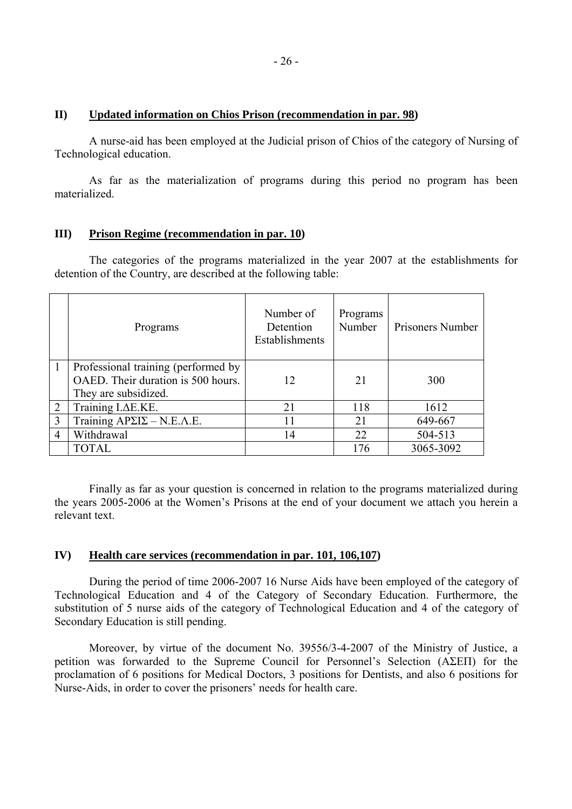### **II) Updated information on Chios Prison (recommendation in par. 98)**

 A nurse-aid has been employed at the Judicial prison of Chios of the category of Nursing of Technological education.

 As far as the materialization of programs during this period no program has been materialized.

# **III) Prison Regime (recommendation in par. 10)**

 The categories of the programs materialized in the year 2007 at the establishments for detention of the Country, are described at the following table:

|                | Programs                                                                  | Number of<br>Detention<br>Establishments | Programs<br>Number | <b>Prisoners Number</b> |
|----------------|---------------------------------------------------------------------------|------------------------------------------|--------------------|-------------------------|
| $\mathbf{1}$   | Professional training (performed by<br>OAED. Their duration is 500 hours. | $\overline{2}$                           | 21                 | 300                     |
|                | They are subsidized.                                                      |                                          |                    |                         |
| 2              | Training I.AE.KE.                                                         | 21                                       | 118                | 1612                    |
| 3              | Training $AP\Sigma I\Sigma - N.E.\Lambda.E.$                              | 11                                       | 21                 | 649-667                 |
| $\overline{4}$ | Withdrawal                                                                | 14                                       | 22                 | 504-513                 |
|                | <b>TOTAL</b>                                                              |                                          | 176                | 3065-3092               |

 Finally as far as your question is concerned in relation to the programs materialized during the years 2005-2006 at the Women's Prisons at the end of your document we attach you herein a relevant text.

# **IV) Health care services (recommendation in par. 101, 106,107)**

 During the period of time 2006-2007 16 Nurse Aids have been employed of the category of Technological Education and 4 of the Category of Secondary Education. Furthermore, the substitution of 5 nurse aids of the category of Technological Education and 4 of the category of Secondary Education is still pending.

 Moreover, by virtue of the document No. 39556/3-4-2007 of the Ministry of Justice, a petition was forwarded to the Supreme Council for Personnel's Selection (ΑΣΕΠ) for the proclamation of 6 positions for Medical Doctors, 3 positions for Dentists, and also 6 positions for Nurse-Aids, in order to cover the prisoners' needs for health care.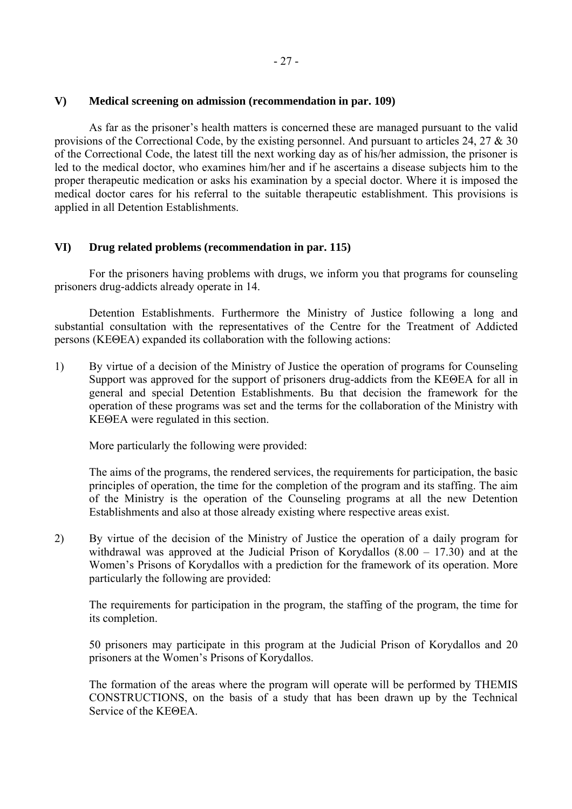# **V) Medical screening on admission (recommendation in par. 109)**

As far as the prisoner's health matters is concerned these are managed pursuant to the valid provisions of the Correctional Code, by the existing personnel. And pursuant to articles 24, 27 & 30 of the Correctional Code, the latest till the next working day as of his/her admission, the prisoner is led to the medical doctor, who examines him/her and if he ascertains a disease subjects him to the proper therapeutic medication or asks his examination by a special doctor. Where it is imposed the medical doctor cares for his referral to the suitable therapeutic establishment. This provisions is applied in all Detention Establishments.

# **VI) Drug related problems (recommendation in par. 115)**

 For the prisoners having problems with drugs, we inform you that programs for counseling prisoners drug-addicts already operate in 14.

 Detention Establishments. Furthermore the Ministry of Justice following a long and substantial consultation with the representatives of the Centre for the Treatment of Addicted persons (ΚΕΘΕΑ) expanded its collaboration with the following actions:

1) By virtue of a decision of the Ministry of Justice the operation of programs for Counseling Support was approved for the support of prisoners drug-addicts from the ΚΕΘΕΑ for all in general and special Detention Establishments. Bu that decision the framework for the operation of these programs was set and the terms for the collaboration of the Ministry with ΚΕΘΕΑ were regulated in this section.

More particularly the following were provided:

 The aims of the programs, the rendered services, the requirements for participation, the basic principles of operation, the time for the completion of the program and its staffing. The aim of the Ministry is the operation of the Counseling programs at all the new Detention Establishments and also at those already existing where respective areas exist.

2) By virtue of the decision of the Ministry of Justice the operation of a daily program for withdrawal was approved at the Judicial Prison of Korydallos  $(8.00 - 17.30)$  and at the Women's Prisons of Korydallos with a prediction for the framework of its operation. More particularly the following are provided:

 The requirements for participation in the program, the staffing of the program, the time for its completion.

 50 prisoners may participate in this program at the Judicial Prison of Korydallos and 20 prisoners at the Women's Prisons of Korydallos.

 The formation of the areas where the program will operate will be performed by THEMIS CONSTRUCTIONS, on the basis of a study that has been drawn up by the Technical Service of the ΚΕΘΕΑ.